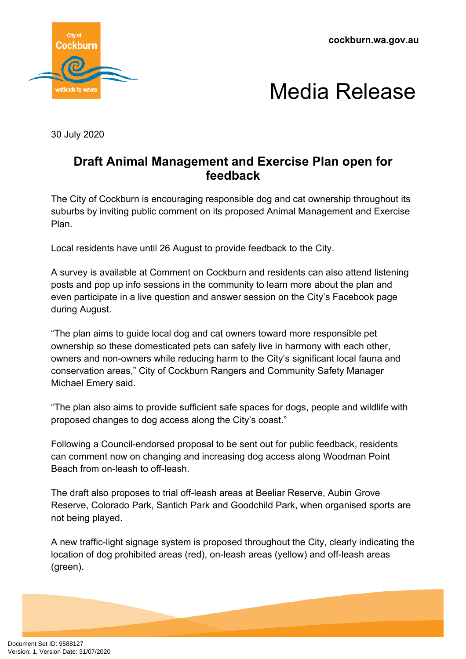**cockburn.wa.gov.au**





30 July 2020

## **Draft Animal Management and Exercise Plan open for feedback**

The City of Cockburn is encouraging responsible dog and cat ownership throughout its suburbs by inviting public comment on its proposed Animal Management and Exercise Plan.

Local residents have until 26 August to provide feedback to the City.

A survey is available at Comment on Cockburn and residents can also attend listening posts and pop up info sessions in the community to learn more about the plan and even participate in a live question and answer session on the City's Facebook page during August.

"The plan aims to guide local dog and cat owners toward more responsible pet ownership so these domesticated pets can safely live in harmony with each other, owners and non-owners while reducing harm to the City's significant local fauna and conservation areas," City of Cockburn Rangers and Community Safety Manager Michael Emery said.

"The plan also aims to provide sufficient safe spaces for dogs, people and wildlife with proposed changes to dog access along the City's coast."

Following a Council-endorsed proposal to be sent out for public feedback, residents can comment now on changing and increasing dog access along Woodman Point Beach from on-leash to off-leash.

The draft also proposes to trial off-leash areas at Beeliar Reserve, Aubin Grove Reserve, Colorado Park, Santich Park and Goodchild Park, when organised sports are not being played.

A new traffic-light signage system is proposed throughout the City, clearly indicating the location of dog prohibited areas (red), on-leash areas (yellow) and off-leash areas (green).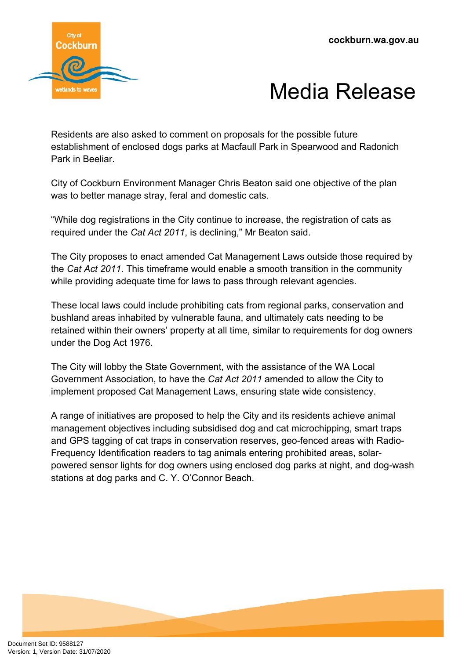



Residents are also asked to comment on proposals for the possible future establishment of enclosed dogs parks at Macfaull Park in Spearwood and Radonich Park in Beeliar.

City of Cockburn Environment Manager Chris Beaton said one objective of the plan was to better manage stray, feral and domestic cats.

"While dog registrations in the City continue to increase, the registration of cats as required under the *Cat Act 2011*, is declining," Mr Beaton said.

The City proposes to enact amended Cat Management Laws outside those required by the *Cat Act 2011*. This timeframe would enable a smooth transition in the community while providing adequate time for laws to pass through relevant agencies.

These local laws could include prohibiting cats from regional parks, conservation and bushland areas inhabited by vulnerable fauna, and ultimately cats needing to be retained within their owners' property at all time, similar to requirements for dog owners under the Dog Act 1976.

The City will lobby the State Government, with the assistance of the WA Local Government Association, to have the *Cat Act 2011* amended to allow the City to implement proposed Cat Management Laws, ensuring state wide consistency.

A range of initiatives are proposed to help the City and its residents achieve animal management objectives including subsidised dog and cat microchipping, smart traps and GPS tagging of cat traps in conservation reserves, geo-fenced areas with Radio-Frequency Identification readers to tag animals entering prohibited areas, solarpowered sensor lights for dog owners using enclosed dog parks at night, and dog-wash stations at dog parks and C. Y. O'Connor Beach.

Document Set ID: 9588127<br>Version: 1, Version Date: 31/07/2020